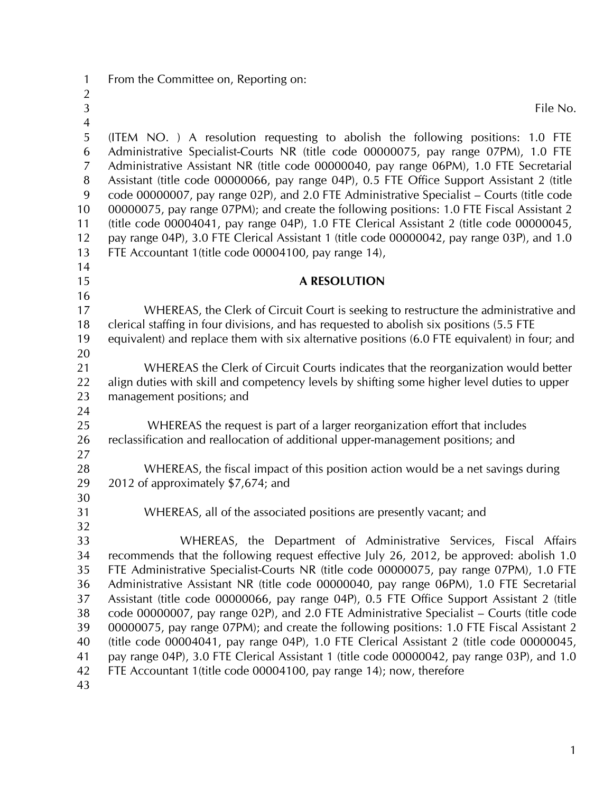- 1 From the Committee on, Reporting on:
- 3 File No.
- 4 5 (ITEM NO. ) A resolution requesting to abolish the following positions: 1.0 FTE 6 Administrative Specialist-Courts NR (title code 00000075, pay range 07PM), 1.0 FTE 7 Administrative Assistant NR (title code 00000040, pay range 06PM), 1.0 FTE Secretarial 8 Assistant (title code 00000066, pay range 04P), 0.5 FTE Office Support Assistant 2 (title 9 code 00000007, pay range 02P), and 2.0 FTE Administrative Specialist – Courts (title code 10 00000075, pay range 07PM); and create the following positions: 1.0 FTE Fiscal Assistant 2

11 (title code 00004041, pay range 04P), 1.0 FTE Clerical Assistant 2 (title code 00000045, 12 pay range 04P), 3.0 FTE Clerical Assistant 1 (title code 00000042, pay range 03P), and 1.0 13 FTE Accountant 1(title code 00004100, pay range 14),

- 15 **A RESOLUTION**
- 17 WHEREAS, the Clerk of Circuit Court is seeking to restructure the administrative and 18 clerical staffing in four divisions, and has requested to abolish six positions (5.5 FTE 19 equivalent) and replace them with six alternative positions (6.0 FTE equivalent) in four; and 20

21 WHEREAS the Clerk of Circuit Courts indicates that the reorganization would better 22 align duties with skill and competency levels by shifting some higher level duties to upper 23 management positions; and

24

14

16

2

25 WHEREAS the request is part of a larger reorganization effort that includes 26 reclassification and reallocation of additional upper-management positions; and

27

28 WHEREAS, the fiscal impact of this position action would be a net savings during 29 2012 of approximately \$7,674; and

30

31 WHEREAS, all of the associated positions are presently vacant; and

32 33 WHEREAS, the Department of Administrative Services, Fiscal Affairs 34 recommends that the following request effective July 26, 2012, be approved: abolish 1.0 35 FTE Administrative Specialist-Courts NR (title code 00000075, pay range 07PM), 1.0 FTE 36 Administrative Assistant NR (title code 00000040, pay range 06PM), 1.0 FTE Secretarial 37 Assistant (title code 00000066, pay range 04P), 0.5 FTE Office Support Assistant 2 (title 38 code 00000007, pay range 02P), and 2.0 FTE Administrative Specialist – Courts (title code 39 00000075, pay range 07PM); and create the following positions: 1.0 FTE Fiscal Assistant 2 40 (title code 00004041, pay range 04P), 1.0 FTE Clerical Assistant 2 (title code 00000045, 41 pay range 04P), 3.0 FTE Clerical Assistant 1 (title code 00000042, pay range 03P), and 1.0 42 FTE Accountant 1(title code 00004100, pay range 14); now, therefore

43